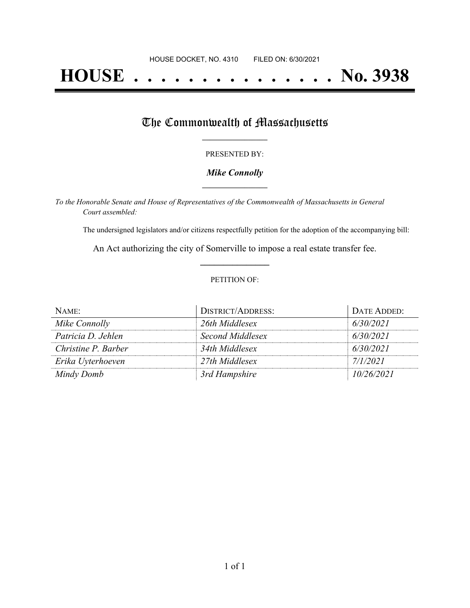# **HOUSE . . . . . . . . . . . . . . . No. 3938**

# The Commonwealth of Massachusetts

#### PRESENTED BY:

### *Mike Connolly* **\_\_\_\_\_\_\_\_\_\_\_\_\_\_\_\_\_**

*To the Honorable Senate and House of Representatives of the Commonwealth of Massachusetts in General Court assembled:*

The undersigned legislators and/or citizens respectfully petition for the adoption of the accompanying bill:

An Act authorizing the city of Somerville to impose a real estate transfer fee. **\_\_\_\_\_\_\_\_\_\_\_\_\_\_\_**

#### PETITION OF:

| NAME:               | <b>DISTRICT/ADDRESS:</b> | DATE ADDED: |
|---------------------|--------------------------|-------------|
| Mike Connolly       | 26th Middlesex           | 6/30/2021   |
| Patricia D. Jehlen  | Second Middlesex         | 6/30/2021   |
| Christine P. Barber | 34th Middlesex           | 6/30/2021   |
| Erika Uyterhoeven   | 27th Middlesex           | 7/1/2021    |
| Mindy Domb          | 3rd Hampshire            | 10/26/2021  |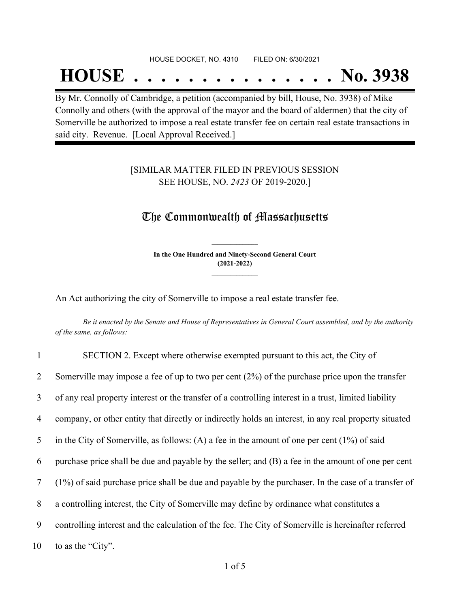#### HOUSE DOCKET, NO. 4310 FILED ON: 6/30/2021

# **HOUSE . . . . . . . . . . . . . . . No. 3938**

By Mr. Connolly of Cambridge, a petition (accompanied by bill, House, No. 3938) of Mike Connolly and others (with the approval of the mayor and the board of aldermen) that the city of Somerville be authorized to impose a real estate transfer fee on certain real estate transactions in said city. Revenue. [Local Approval Received.]

## [SIMILAR MATTER FILED IN PREVIOUS SESSION SEE HOUSE, NO. *2423* OF 2019-2020.]

## The Commonwealth of Massachusetts

**In the One Hundred and Ninety-Second General Court (2021-2022) \_\_\_\_\_\_\_\_\_\_\_\_\_\_\_**

**\_\_\_\_\_\_\_\_\_\_\_\_\_\_\_**

An Act authorizing the city of Somerville to impose a real estate transfer fee.

Be it enacted by the Senate and House of Representatives in General Court assembled, and by the authority *of the same, as follows:*

| $\mathbf{1}$ | SECTION 2. Except where otherwise exempted pursuant to this act, the City of                          |
|--------------|-------------------------------------------------------------------------------------------------------|
| 2            | Somerville may impose a fee of up to two per cent $(2%)$ of the purchase price upon the transfer      |
| 3            | of any real property interest or the transfer of a controlling interest in a trust, limited liability |
| 4            | company, or other entity that directly or indirectly holds an interest, in any real property situated |
| 5            | in the City of Somerville, as follows: (A) a fee in the amount of one per cent $(1\%)$ of said        |
| 6            | purchase price shall be due and payable by the seller; and (B) a fee in the amount of one per cent    |
| $\tau$       | (1%) of said purchase price shall be due and payable by the purchaser. In the case of a transfer of   |
| 8            | a controlling interest, the City of Somerville may define by ordinance what constitutes a             |
| 9            | controlling interest and the calculation of the fee. The City of Somerville is hereinafter referred   |
| 10           | to as the "City".                                                                                     |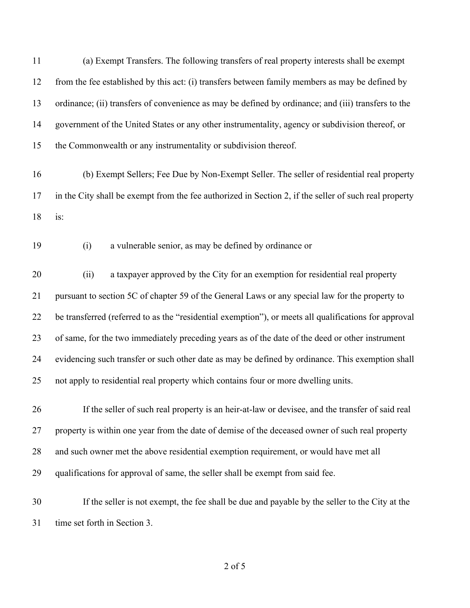(a) Exempt Transfers. The following transfers of real property interests shall be exempt from the fee established by this act: (i) transfers between family members as may be defined by ordinance; (ii) transfers of convenience as may be defined by ordinance; and (iii) transfers to the government of the United States or any other instrumentality, agency or subdivision thereof, or the Commonwealth or any instrumentality or subdivision thereof.

 (b) Exempt Sellers; Fee Due by Non-Exempt Seller. The seller of residential real property in the City shall be exempt from the fee authorized in Section 2, if the seller of such real property is:

## (i) a vulnerable senior, as may be defined by ordinance or

 (ii) a taxpayer approved by the City for an exemption for residential real property pursuant to section 5C of chapter 59 of the General Laws or any special law for the property to be transferred (referred to as the "residential exemption"), or meets all qualifications for approval of same, for the two immediately preceding years as of the date of the deed or other instrument evidencing such transfer or such other date as may be defined by ordinance. This exemption shall not apply to residential real property which contains four or more dwelling units.

 If the seller of such real property is an heir-at-law or devisee, and the transfer of said real property is within one year from the date of demise of the deceased owner of such real property and such owner met the above residential exemption requirement, or would have met all qualifications for approval of same, the seller shall be exempt from said fee.

 If the seller is not exempt, the fee shall be due and payable by the seller to the City at the time set forth in Section 3.

of 5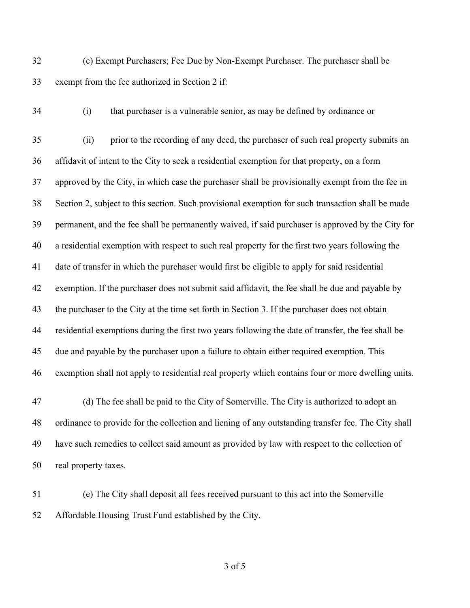(c) Exempt Purchasers; Fee Due by Non-Exempt Purchaser. The purchaser shall be exempt from the fee authorized in Section 2 if:

(i) that purchaser is a vulnerable senior, as may be defined by ordinance or

 (ii) prior to the recording of any deed, the purchaser of such real property submits an affidavit of intent to the City to seek a residential exemption for that property, on a form approved by the City, in which case the purchaser shall be provisionally exempt from the fee in Section 2, subject to this section. Such provisional exemption for such transaction shall be made permanent, and the fee shall be permanently waived, if said purchaser is approved by the City for a residential exemption with respect to such real property for the first two years following the date of transfer in which the purchaser would first be eligible to apply for said residential exemption. If the purchaser does not submit said affidavit, the fee shall be due and payable by the purchaser to the City at the time set forth in Section 3. If the purchaser does not obtain residential exemptions during the first two years following the date of transfer, the fee shall be due and payable by the purchaser upon a failure to obtain either required exemption. This exemption shall not apply to residential real property which contains four or more dwelling units.

- (d) The fee shall be paid to the City of Somerville. The City is authorized to adopt an ordinance to provide for the collection and liening of any outstanding transfer fee. The City shall have such remedies to collect said amount as provided by law with respect to the collection of real property taxes.
- (e) The City shall deposit all fees received pursuant to this act into the Somerville Affordable Housing Trust Fund established by the City.

of 5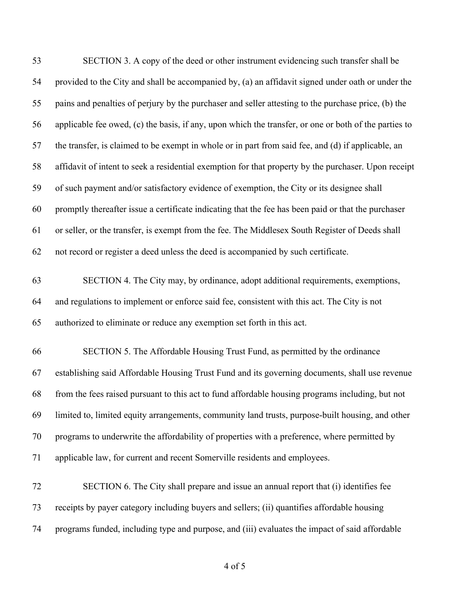| 53 | SECTION 3. A copy of the deed or other instrument evidencing such transfer shall be                   |
|----|-------------------------------------------------------------------------------------------------------|
| 54 | provided to the City and shall be accompanied by, (a) an affidavit signed under oath or under the     |
| 55 | pains and penalties of perjury by the purchaser and seller attesting to the purchase price, (b) the   |
| 56 | applicable fee owed, (c) the basis, if any, upon which the transfer, or one or both of the parties to |
| 57 | the transfer, is claimed to be exempt in whole or in part from said fee, and (d) if applicable, an    |
| 58 | affidavit of intent to seek a residential exemption for that property by the purchaser. Upon receipt  |
| 59 | of such payment and/or satisfactory evidence of exemption, the City or its designee shall             |
| 60 | promptly thereafter issue a certificate indicating that the fee has been paid or that the purchaser   |
| 61 | or seller, or the transfer, is exempt from the fee. The Middlesex South Register of Deeds shall       |
| 62 | not record or register a deed unless the deed is accompanied by such certificate.                     |
| 63 | SECTION 4. The City may, by ordinance, adopt additional requirements, exemptions,                     |
| 64 | and regulations to implement or enforce said fee, consistent with this act. The City is not           |
| 65 | authorized to eliminate or reduce any exemption set forth in this act.                                |
| 66 | SECTION 5. The Affordable Housing Trust Fund, as permitted by the ordinance                           |
| 67 | establishing said Affordable Housing Trust Fund and its governing documents, shall use revenue        |
| 68 | from the fees raised pursuant to this act to fund affordable housing programs including, but not      |
| 69 | limited to, limited equity arrangements, community land trusts, purpose-built housing, and other      |
| 70 | programs to underwrite the affordability of properties with a preference, where permitted by          |
| 71 | applicable law, for current and recent Somerville residents and employees.                            |
| 72 | SECTION 6. The City shall prepare and issue an annual report that (i) identifies fee                  |
| 73 | receipts by payer category including buyers and sellers; (ii) quantifies affordable housing           |
| 74 | programs funded, including type and purpose, and (iii) evaluates the impact of said affordable        |
|    |                                                                                                       |

of 5